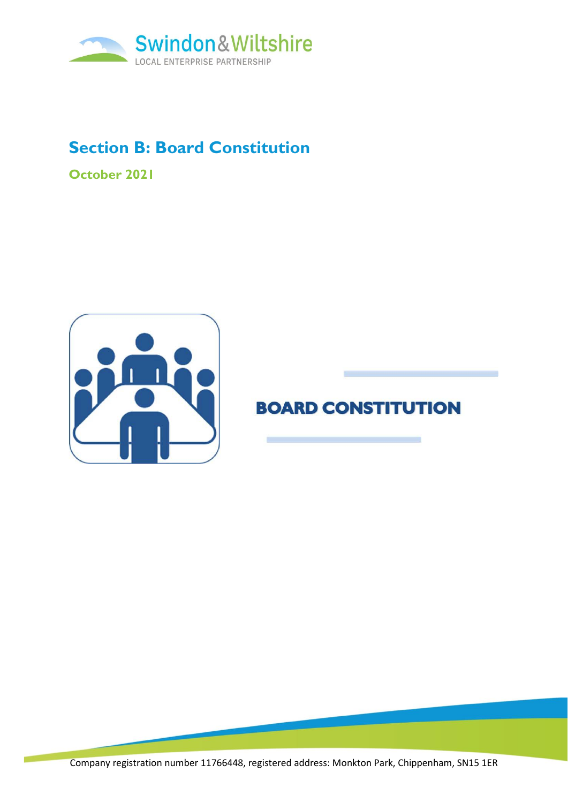

# **Section B: Board Constitution**

**October 2021**



# **BOARD CONSTITUTION**

Company registration number 11766448, registered address: Monkton Park, Chippenham, SN15 1ER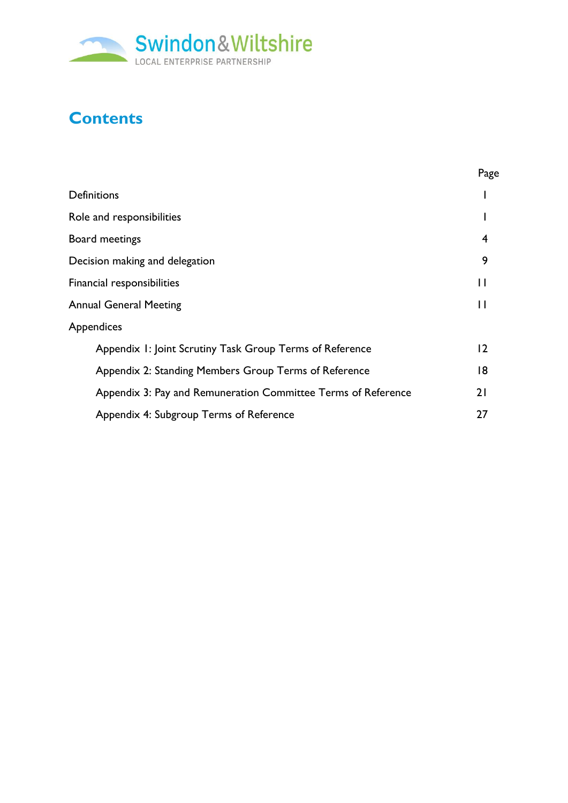

# **Contents**

|                                                               | Page |
|---------------------------------------------------------------|------|
| <b>Definitions</b>                                            |      |
| Role and responsibilities                                     |      |
| Board meetings                                                | 4    |
| Decision making and delegation                                | 9    |
| Financial responsibilities                                    |      |
| <b>Annual General Meeting</b>                                 |      |
| <b>Appendices</b>                                             |      |
| Appendix 1: Joint Scrutiny Task Group Terms of Reference      | 2    |
| Appendix 2: Standing Members Group Terms of Reference         | 18   |
| Appendix 3: Pay and Remuneration Committee Terms of Reference | 21   |
| Appendix 4: Subgroup Terms of Reference                       | 27   |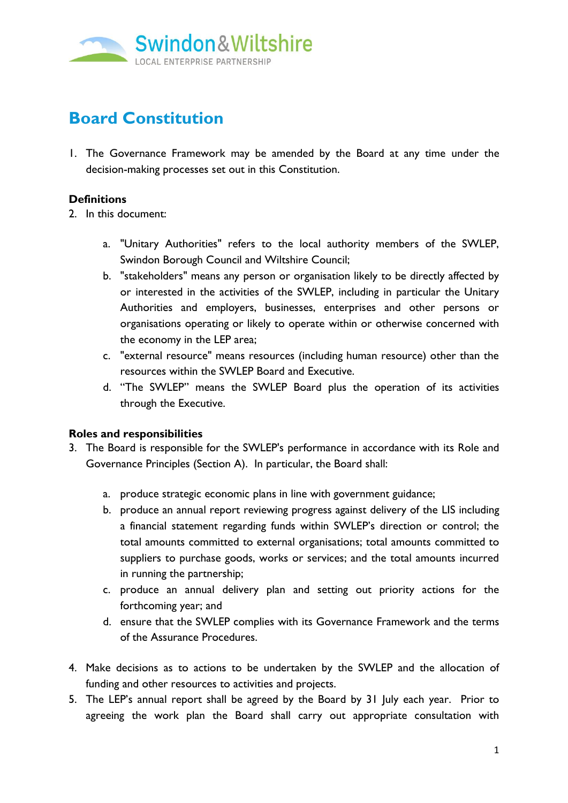

# **Board Constitution**

1. The Governance Framework may be amended by the Board at any time under the decision-making processes set out in this Constitution.

## **Definitions**

2. In this document:

- a. "Unitary Authorities" refers to the local authority members of the SWLEP, Swindon Borough Council and Wiltshire Council;
- b. "stakeholders" means any person or organisation likely to be directly affected by or interested in the activities of the SWLEP, including in particular the Unitary Authorities and employers, businesses, enterprises and other persons or organisations operating or likely to operate within or otherwise concerned with the economy in the LEP area;
- c. "external resource" means resources (including human resource) other than the resources within the SWLEP Board and Executive.
- d. "The SWLEP" means the SWLEP Board plus the operation of its activities through the Executive.

## **Roles and responsibilities**

- 3. The Board is responsible for the SWLEP's performance in accordance with its Role and Governance Principles (Section A). In particular, the Board shall:
	- a. produce strategic economic plans in line with government guidance;
	- b. produce an annual report reviewing progress against delivery of the LIS including a financial statement regarding funds within SWLEP's direction or control; the total amounts committed to external organisations; total amounts committed to suppliers to purchase goods, works or services; and the total amounts incurred in running the partnership;
	- c. produce an annual delivery plan and setting out priority actions for the forthcoming year; and
	- d. ensure that the SWLEP complies with its Governance Framework and the terms of the Assurance Procedures.
- 4. Make decisions as to actions to be undertaken by the SWLEP and the allocation of funding and other resources to activities and projects.
- 5. The LEP's annual report shall be agreed by the Board by 31 July each year. Prior to agreeing the work plan the Board shall carry out appropriate consultation with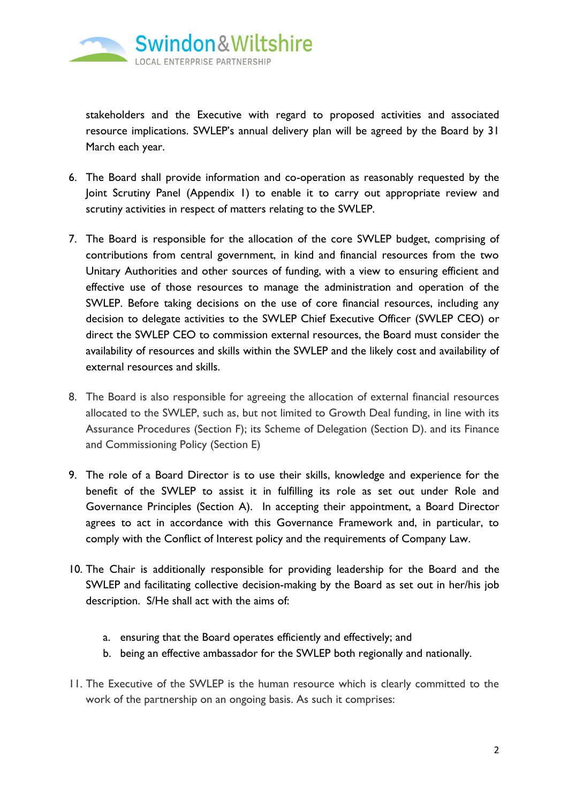

stakeholders and the Executive with regard to proposed activities and associated resource implications. SWLEP's annual delivery plan will be agreed by the Board by 31 March each year.

- 6. The Board shall provide information and co-operation as reasonably requested by the Joint Scrutiny Panel (Appendix 1) to enable it to carry out appropriate review and scrutiny activities in respect of matters relating to the SWLEP.
- 7. The Board is responsible for the allocation of the core SWLEP budget, comprising of contributions from central government, in kind and financial resources from the two Unitary Authorities and other sources of funding, with a view to ensuring efficient and effective use of those resources to manage the administration and operation of the SWLEP. Before taking decisions on the use of core financial resources, including any decision to delegate activities to the SWLEP Chief Executive Officer (SWLEP CEO) or direct the SWLEP CEO to commission external resources, the Board must consider the availability of resources and skills within the SWLEP and the likely cost and availability of external resources and skills.
- 8. The Board is also responsible for agreeing the allocation of external financial resources allocated to the SWLEP, such as, but not limited to Growth Deal funding, in line with its Assurance Procedures (Section F); its Scheme of Delegation (Section D). and its Finance and Commissioning Policy (Section E)
- 9. The role of a Board Director is to use their skills, knowledge and experience for the benefit of the SWLEP to assist it in fulfilling its role as set out under Role and Governance Principles (Section A). In accepting their appointment, a Board Director agrees to act in accordance with this Governance Framework and, in particular, to comply with the Conflict of Interest policy and the requirements of Company Law.
- 10. The Chair is additionally responsible for providing leadership for the Board and the SWLEP and facilitating collective decision-making by the Board as set out in her/his job description. S/He shall act with the aims of:
	- a. ensuring that the Board operates efficiently and effectively; and
	- b. being an effective ambassador for the SWLEP both regionally and nationally.
- 11. The Executive of the SWLEP is the human resource which is clearly committed to the work of the partnership on an ongoing basis. As such it comprises: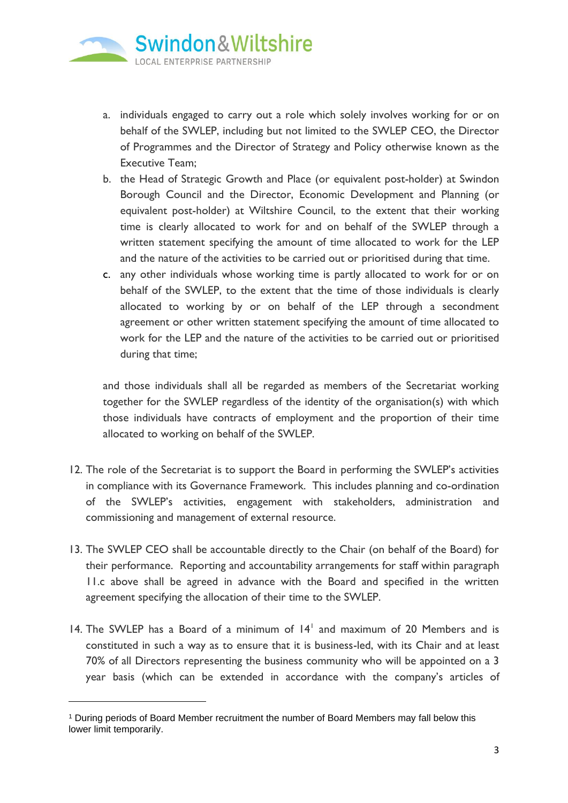

- a. individuals engaged to carry out a role which solely involves working for or on behalf of the SWLEP, including but not limited to the SWLEP CEO, the Director of Programmes and the Director of Strategy and Policy otherwise known as the Executive Team;
- b. the Head of Strategic Growth and Place (or equivalent post-holder) at Swindon Borough Council and the Director, Economic Development and Planning (or equivalent post-holder) at Wiltshire Council, to the extent that their working time is clearly allocated to work for and on behalf of the SWLEP through a written statement specifying the amount of time allocated to work for the LEP and the nature of the activities to be carried out or prioritised during that time.
- <span id="page-4-0"></span>c. any other individuals whose working time is partly allocated to work for or on behalf of the SWLEP, to the extent that the time of those individuals is clearly allocated to working by or on behalf of the LEP through a secondment agreement or other written statement specifying the amount of time allocated to work for the LEP and the nature of the activities to be carried out or prioritised during that time;

and those individuals shall all be regarded as members of the Secretariat working together for the SWLEP regardless of the identity of the organisation(s) with which those individuals have contracts of employment and the proportion of their time allocated to working on behalf of the SWLEP.

- 12. The role of the Secretariat is to support the Board in performing the SWLEP's activities in compliance with its Governance Framework. This includes planning and co-ordination of the SWLEP's activities, engagement with stakeholders, administration and commissioning and management of external resource.
- 13. The SWLEP CEO shall be accountable directly to the Chair (on behalf of the Board) for their performance. Reporting and accountability arrangements for staff within paragraph [11.c](#page-4-0) above shall be agreed in advance with the Board and specified in the written agreement specifying the allocation of their time to the SWLEP.
- 14. The SWLEP has a Board of a minimum of  $14<sup>1</sup>$  and maximum of 20 Members and is constituted in such a way as to ensure that it is business-led, with its Chair and at least 70% of all Directors representing the business community who will be appointed on a 3 year basis (which can be extended in accordance with the company's articles of

<sup>1</sup> During periods of Board Member recruitment the number of Board Members may fall below this lower limit temporarily.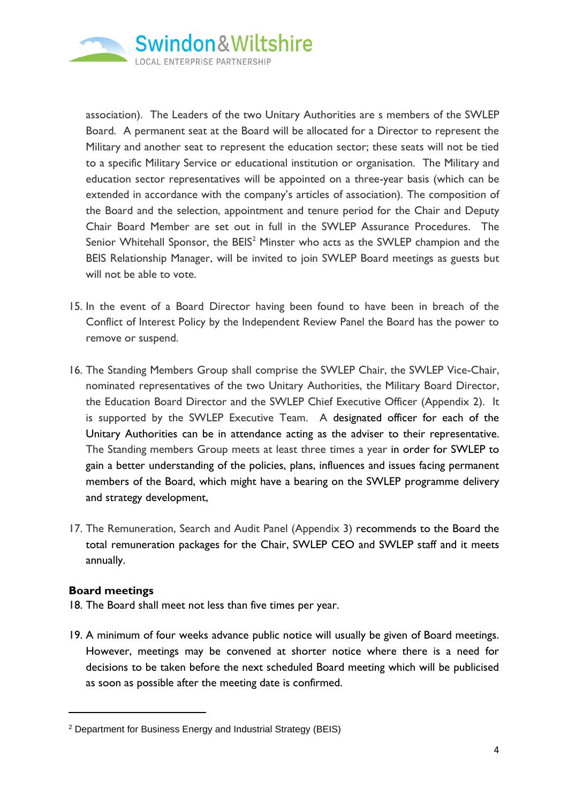

association). The Leaders of the two Unitary Authorities are s members of the SWLEP Board. A permanent seat at the Board will be allocated for a Director to represent the Military and another seat to represent the education sector; these seats will not be tied to a specific Military Service or educational institution or organisation. The Military and education sector representatives will be appointed on a three-year basis (which can be extended in accordance with the company's articles of association). The composition of the Board and the selection, appointment and tenure period for the Chair and Deputy Chair Board Member are set out in full in the SWLEP Assurance Procedures. The Senior Whitehall Sponsor, the  $BES<sup>2</sup>$  Minster who acts as the SWLEP champion and the BEIS Relationship Manager, will be invited to join SWLEP Board meetings as guests but will not be able to vote.

- 15. In the event of a Board Director having been found to have been in breach of the Conflict of Interest Policy by the Independent Review Panel the Board has the power to remove or suspend.
- 16. The Standing Members Group shall comprise the SWLEP Chair, the SWLEP Vice-Chair, nominated representatives of the two Unitary Authorities, the Military Board Director, the Education Board Director and the SWLEP Chief Executive Officer (Appendix 2). It is supported by the SWLEP Executive Team. A designated officer for each of the Unitary Authorities can be in attendance acting as the adviser to their representative. The Standing members Group meets at least three times a year in order for SWLEP to gain a better understanding of the policies, plans, influences and issues facing permanent members of the Board, which might have a bearing on the SWLEP programme delivery and strategy development,
- 17. The Remuneration, Search and Audit Panel (Appendix 3) recommends to the Board the total remuneration packages for the Chair, SWLEP CEO and SWLEP staff and it meets annually.

## **Board meetings**

- 18. The Board shall meet not less than five times per year.
- 19. A minimum of four weeks advance public notice will usually be given of Board meetings. However, meetings may be convened at shorter notice where there is a need for decisions to be taken before the next scheduled Board meeting which will be publicised as soon as possible after the meeting date is confirmed.

<sup>2</sup> Department for Business Energy and Industrial Strategy (BEIS)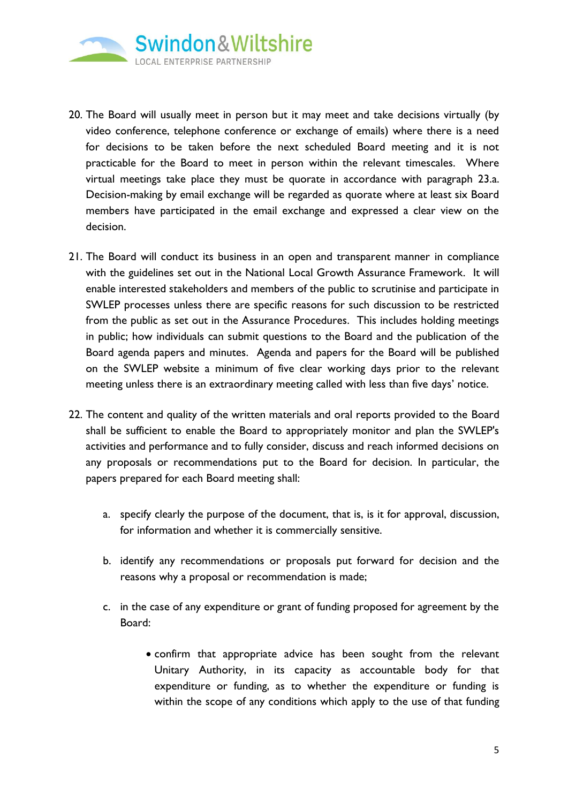

- 20. The Board will usually meet in person but it may meet and take decisions virtually (by video conference, telephone conference or exchange of emails) where there is a need for decisions to be taken before the next scheduled Board meeting and it is not practicable for the Board to meet in person within the relevant timescales. Where virtual meetings take place they must be quorate in accordance with paragraph [23.a.](#page-7-0) Decision-making by email exchange will be regarded as quorate where at least six Board members have participated in the email exchange and expressed a clear view on the decision.
- 21. The Board will conduct its business in an open and transparent manner in compliance with the guidelines set out in the National Local Growth Assurance Framework. It will enable interested stakeholders and members of the public to scrutinise and participate in SWLEP processes unless there are specific reasons for such discussion to be restricted from the public as set out in the Assurance Procedures. This includes holding meetings in public; how individuals can submit questions to the Board and the publication of the Board agenda papers and minutes. Agenda and papers for the Board will be published on the SWLEP website a minimum of five clear working days prior to the relevant meeting unless there is an extraordinary meeting called with less than five days' notice.
- 22. The content and quality of the written materials and oral reports provided to the Board shall be sufficient to enable the Board to appropriately monitor and plan the SWLEP's activities and performance and to fully consider, discuss and reach informed decisions on any proposals or recommendations put to the Board for decision. In particular, the papers prepared for each Board meeting shall:
	- a. specify clearly the purpose of the document, that is, is it for approval, discussion, for information and whether it is commercially sensitive.
	- b. identify any recommendations or proposals put forward for decision and the reasons why a proposal or recommendation is made;
	- c. in the case of any expenditure or grant of funding proposed for agreement by the Board:
		- confirm that appropriate advice has been sought from the relevant Unitary Authority, in its capacity as accountable body for that expenditure or funding, as to whether the expenditure or funding is within the scope of any conditions which apply to the use of that funding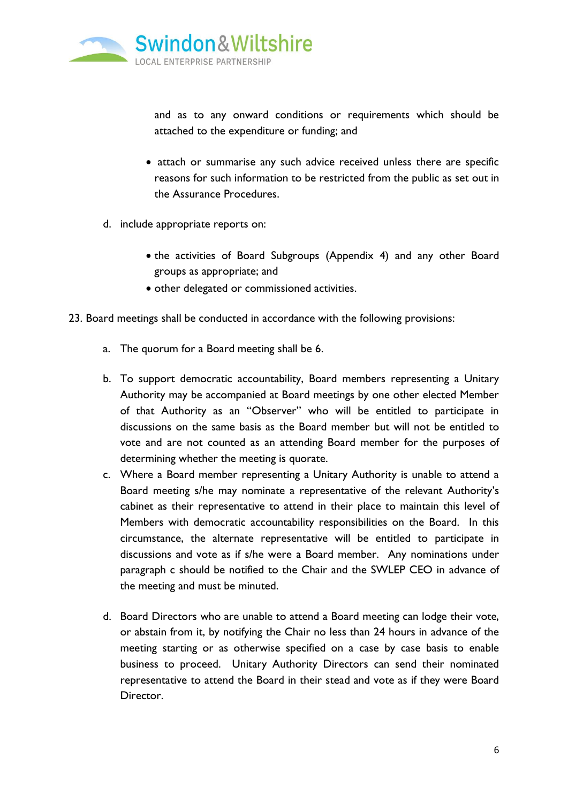

and as to any onward conditions or requirements which should be attached to the expenditure or funding; and

- attach or summarise any such advice received unless there are specific reasons for such information to be restricted from the public as set out in the Assurance Procedures.
- d. include appropriate reports on:
	- the activities of Board Subgroups (Appendix 4) and any other Board groups as appropriate; and
	- other delegated or commissioned activities.
- <span id="page-7-1"></span><span id="page-7-0"></span>23. Board meetings shall be conducted in accordance with the following provisions:
	- a. The quorum for a Board meeting shall be 6.
	- b. To support democratic accountability, Board members representing a Unitary Authority may be accompanied at Board meetings by one other elected Member of that Authority as an "Observer" who will be entitled to participate in discussions on the same basis as the Board member but will not be entitled to vote and are not counted as an attending Board member for the purposes of determining whether the meeting is quorate.
	- c. Where a Board member representing a Unitary Authority is unable to attend a Board meeting s/he may nominate a representative of the relevant Authority's cabinet as their representative to attend in their place to maintain this level of Members with democratic accountability responsibilities on the Board. In this circumstance, the alternate representative will be entitled to participate in discussions and vote as if s/he were a Board member. Any nominations under paragraph [c](#page-7-1) should be notified to the Chair and the SWLEP CEO in advance of the meeting and must be minuted.
	- d. Board Directors who are unable to attend a Board meeting can lodge their vote, or abstain from it, by notifying the Chair no less than 24 hours in advance of the meeting starting or as otherwise specified on a case by case basis to enable business to proceed. Unitary Authority Directors can send their nominated representative to attend the Board in their stead and vote as if they were Board Director.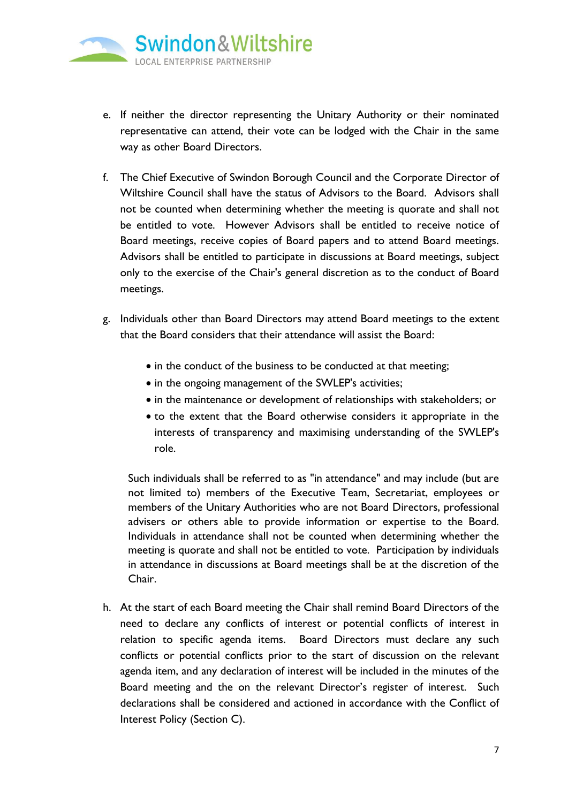

- e. If neither the director representing the Unitary Authority or their nominated representative can attend, their vote can be lodged with the Chair in the same way as other Board Directors.
- f. The Chief Executive of Swindon Borough Council and the Corporate Director of Wiltshire Council shall have the status of Advisors to the Board. Advisors shall not be counted when determining whether the meeting is quorate and shall not be entitled to vote. However Advisors shall be entitled to receive notice of Board meetings, receive copies of Board papers and to attend Board meetings. Advisors shall be entitled to participate in discussions at Board meetings, subject only to the exercise of the Chair's general discretion as to the conduct of Board meetings.
- g. Individuals other than Board Directors may attend Board meetings to the extent that the Board considers that their attendance will assist the Board:
	- in the conduct of the business to be conducted at that meeting;
	- in the ongoing management of the SWLEP's activities;
	- in the maintenance or development of relationships with stakeholders; or
	- to the extent that the Board otherwise considers it appropriate in the interests of transparency and maximising understanding of the SWLEP's role.

Such individuals shall be referred to as "in attendance" and may include (but are not limited to) members of the Executive Team, Secretariat, employees or members of the Unitary Authorities who are not Board Directors, professional advisers or others able to provide information or expertise to the Board. Individuals in attendance shall not be counted when determining whether the meeting is quorate and shall not be entitled to vote. Participation by individuals in attendance in discussions at Board meetings shall be at the discretion of the Chair.

h. At the start of each Board meeting the Chair shall remind Board Directors of the need to declare any conflicts of interest or potential conflicts of interest in relation to specific agenda items. Board Directors must declare any such conflicts or potential conflicts prior to the start of discussion on the relevant agenda item, and any declaration of interest will be included in the minutes of the Board meeting and the on the relevant Director's register of interest. Such declarations shall be considered and actioned in accordance with the Conflict of Interest Policy (Section C).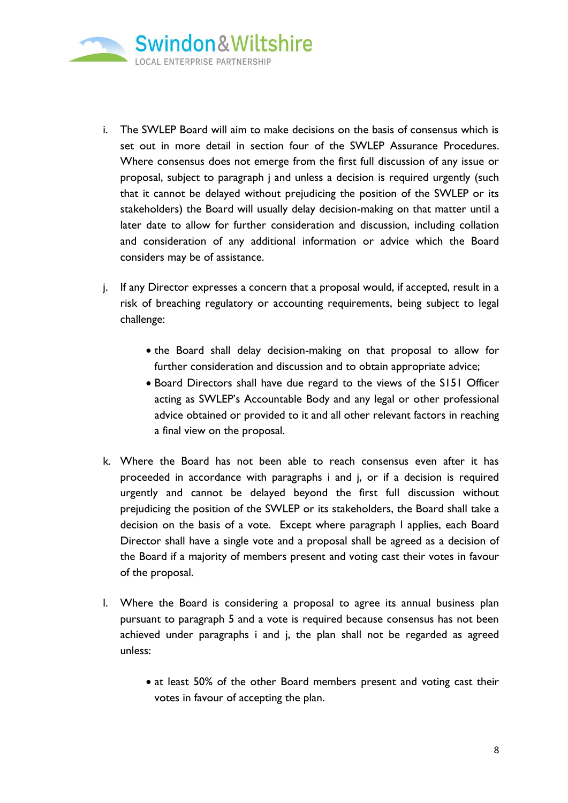

- i. The SWLEP Board will aim to make decisions on the basis of consensus which is set out in more detail in section four of the SWLEP Assurance Procedures. Where consensus does not emerge from the first full discussion of any issue or proposal, subject to paragraph j and unless a decision is required urgently (such that it cannot be delayed without prejudicing the position of the SWLEP or its stakeholders) the Board will usually delay decision-making on that matter until a later date to allow for further consideration and discussion, including collation and consideration of any additional information or advice which the Board considers may be of assistance.
- <span id="page-9-1"></span>j. If any Director expresses a concern that a proposal would, if accepted, result in a risk of breaching regulatory or accounting requirements, being subject to legal challenge:
	- the Board shall delay decision-making on that proposal to allow for further consideration and discussion and to obtain appropriate advice;
	- Board Directors shall have due regard to the views of the S151 Officer acting as SWLEP's Accountable Body and any legal or other professional advice obtained or provided to it and all other relevant factors in reaching a final view on the proposal.
- k. Where the Board has not been able to reach consensus even after it has proceeded in accordance with paragraphs i and j, or if a decision is required urgently and cannot be delayed beyond the first full discussion without prejudicing the position of the SWLEP or its stakeholders, the Board shall take a decision on the basis of a vote. Except where paragraph [l](#page-9-0) applies, each Board Director shall have a single vote and a proposal shall be agreed as a decision of the Board if a majority of members present and voting cast their votes in favour of the proposal.
- <span id="page-9-0"></span>l. Where the Board is considering a proposal to agree its annual business plan pursuant to paragraph 5 and a vote is required because consensus has not been achieved under paragraphs i and [j,](#page-9-1) the plan shall not be regarded as agreed unless:
	- at least 50% of the other Board members present and voting cast their votes in favour of accepting the plan.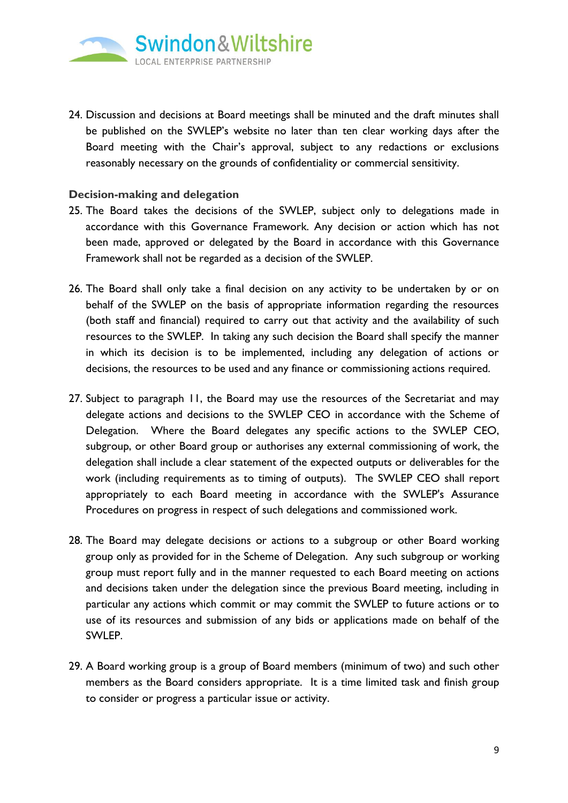

24. Discussion and decisions at Board meetings shall be minuted and the draft minutes shall be published on the SWLEP's website no later than ten clear working days after the Board meeting with the Chair's approval, subject to any redactions or exclusions reasonably necessary on the grounds of confidentiality or commercial sensitivity.

### **Decision-making and delegation**

- 25. The Board takes the decisions of the SWLEP, subject only to delegations made in accordance with this Governance Framework. Any decision or action which has not been made, approved or delegated by the Board in accordance with this Governance Framework shall not be regarded as a decision of the SWLEP.
- 26. The Board shall only take a final decision on any activity to be undertaken by or on behalf of the SWLEP on the basis of appropriate information regarding the resources (both staff and financial) required to carry out that activity and the availability of such resources to the SWLEP. In taking any such decision the Board shall specify the manner in which its decision is to be implemented, including any delegation of actions or decisions, the resources to be used and any finance or commissioning actions required.
- 27. Subject to paragraph 11, the Board may use the resources of the Secretariat and may delegate actions and decisions to the SWLEP CEO in accordance with the Scheme of Delegation. Where the Board delegates any specific actions to the SWLEP CEO, subgroup, or other Board group or authorises any external commissioning of work, the delegation shall include a clear statement of the expected outputs or deliverables for the work (including requirements as to timing of outputs). The SWLEP CEO shall report appropriately to each Board meeting in accordance with the SWLEP's Assurance Procedures on progress in respect of such delegations and commissioned work.
- 28. The Board may delegate decisions or actions to a subgroup or other Board working group only as provided for in the Scheme of Delegation. Any such subgroup or working group must report fully and in the manner requested to each Board meeting on actions and decisions taken under the delegation since the previous Board meeting, including in particular any actions which commit or may commit the SWLEP to future actions or to use of its resources and submission of any bids or applications made on behalf of the SWLEP.
- 29. A Board working group is a group of Board members (minimum of two) and such other members as the Board considers appropriate. It is a time limited task and finish group to consider or progress a particular issue or activity.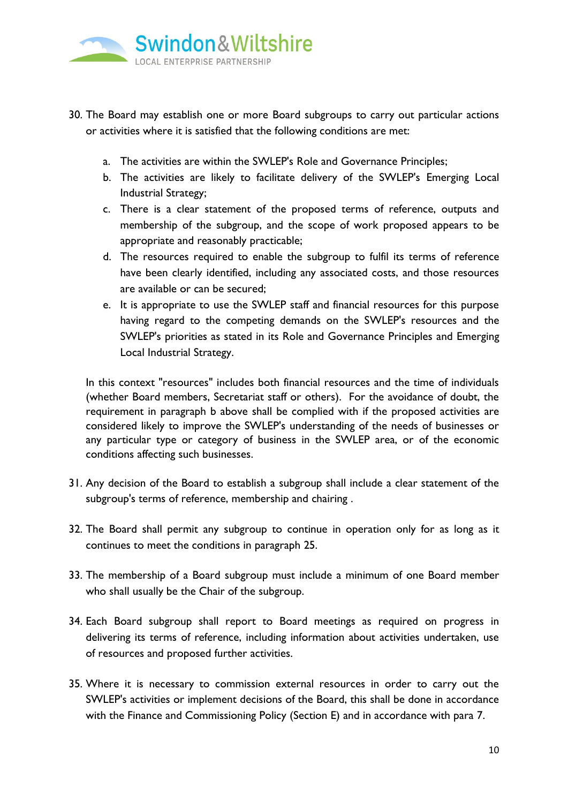

- 30. The Board may establish one or more Board subgroups to carry out particular actions or activities where it is satisfied that the following conditions are met:
	- a. The activities are within the SWLEP's Role and Governance Principles;
	- b. The activities are likely to facilitate delivery of the SWLEP's Emerging Local Industrial Strategy;
	- c. There is a clear statement of the proposed terms of reference, outputs and membership of the subgroup, and the scope of work proposed appears to be appropriate and reasonably practicable;
	- d. The resources required to enable the subgroup to fulfil its terms of reference have been clearly identified, including any associated costs, and those resources are available or can be secured;
	- e. It is appropriate to use the SWLEP staff and financial resources for this purpose having regard to the competing demands on the SWLEP's resources and the SWLEP's priorities as stated in its Role and Governance Principles and Emerging Local Industrial Strategy.

In this context "resources" includes both financial resources and the time of individuals (whether Board members, Secretariat staff or others). For the avoidance of doubt, the requirement in paragraph b above shall be complied with if the proposed activities are considered likely to improve the SWLEP's understanding of the needs of businesses or any particular type or category of business in the SWLEP area, or of the economic conditions affecting such businesses.

- 31. Any decision of the Board to establish a subgroup shall include a clear statement of the subgroup's terms of reference, membership and chairing .
- 32. The Board shall permit any subgroup to continue in operation only for as long as it continues to meet the conditions in paragraph 25.
- 33. The membership of a Board subgroup must include a minimum of one Board member who shall usually be the Chair of the subgroup.
- 34. Each Board subgroup shall report to Board meetings as required on progress in delivering its terms of reference, including information about activities undertaken, use of resources and proposed further activities.
- 35. Where it is necessary to commission external resources in order to carry out the SWLEP's activities or implement decisions of the Board, this shall be done in accordance with the Finance and Commissioning Policy (Section E) and in accordance with para 7.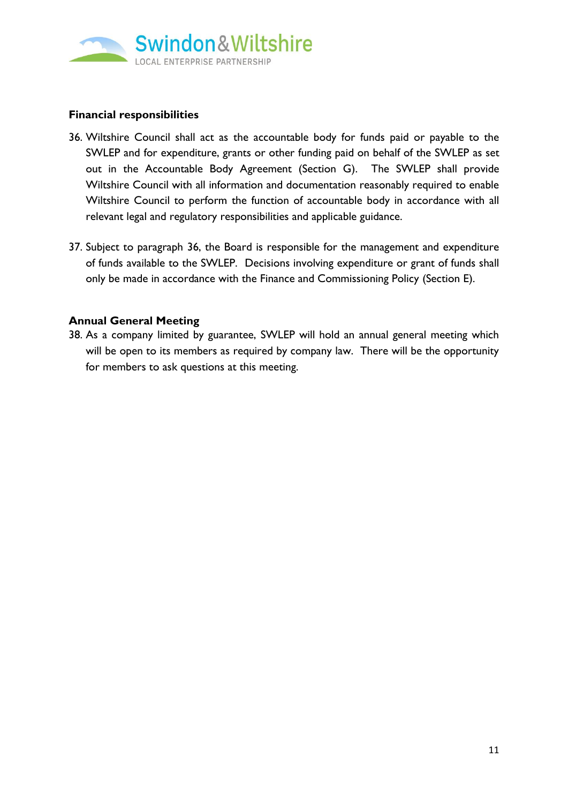

## **Financial responsibilities**

- <span id="page-12-0"></span>36. Wiltshire Council shall act as the accountable body for funds paid or payable to the SWLEP and for expenditure, grants or other funding paid on behalf of the SWLEP as set out in the Accountable Body Agreement (Section G). The SWLEP shall provide Wiltshire Council with all information and documentation reasonably required to enable Wiltshire Council to perform the function of accountable body in accordance with all relevant legal and regulatory responsibilities and applicable guidance.
- 37. Subject to paragraph [36,](#page-12-0) the Board is responsible for the management and expenditure of funds available to the SWLEP. Decisions involving expenditure or grant of funds shall only be made in accordance with the Finance and Commissioning Policy (Section E).

#### **Annual General Meeting**

38. As a company limited by guarantee, SWLEP will hold an annual general meeting which will be open to its members as required by company law. There will be the opportunity for members to ask questions at this meeting.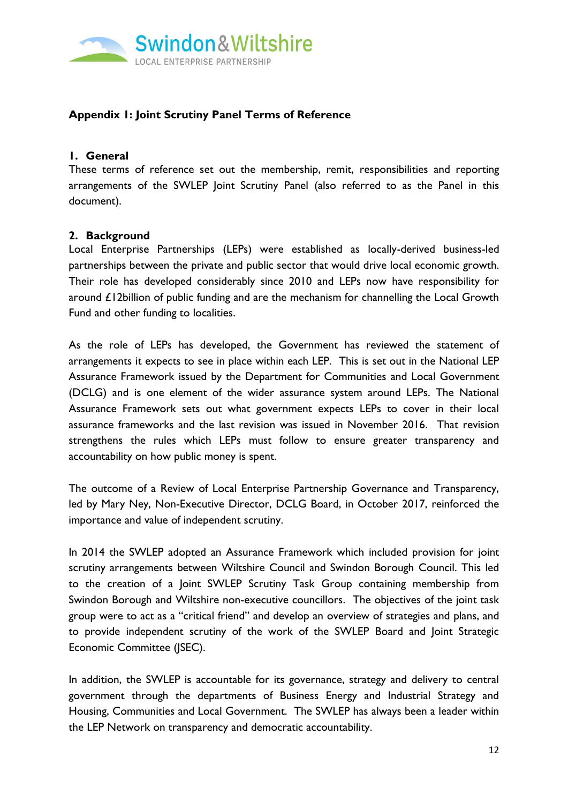

## **Appendix 1: Joint Scrutiny Panel Terms of Reference**

#### **1. General**

These terms of reference set out the membership, remit, responsibilities and reporting arrangements of the SWLEP Joint Scrutiny Panel (also referred to as the Panel in this document).

#### **2. Background**

Local Enterprise Partnerships (LEPs) were established as locally-derived business-led partnerships between the private and public sector that would drive local economic growth. Their role has developed considerably since 2010 and LEPs now have responsibility for around £12billion of public funding and are the mechanism for channelling the Local Growth Fund and other funding to localities.

As the role of LEPs has developed, the Government has reviewed the statement of arrangements it expects to see in place within each LEP. This is set out in the National LEP Assurance Framework issued by the Department for Communities and Local Government (DCLG) and is one element of the wider assurance system around LEPs. The National Assurance Framework sets out what government expects LEPs to cover in their local assurance frameworks and the last revision was issued in November 2016. That revision strengthens the rules which LEPs must follow to ensure greater transparency and accountability on how public money is spent.

The outcome of a Review of Local Enterprise Partnership Governance and Transparency, led by Mary Ney, Non-Executive Director, DCLG Board, in October 2017, reinforced the importance and value of independent scrutiny.

In 2014 the SWLEP adopted an Assurance Framework which included provision for joint scrutiny arrangements between Wiltshire Council and Swindon Borough Council. This led to the creation of a Joint SWLEP Scrutiny Task Group containing membership from Swindon Borough and Wiltshire non-executive councillors. The objectives of the joint task group were to act as a "critical friend" and develop an overview of strategies and plans, and to provide independent scrutiny of the work of the SWLEP Board and Joint Strategic Economic Committee (JSEC).

In addition, the SWLEP is accountable for its governance, strategy and delivery to central government through the departments of Business Energy and Industrial Strategy and Housing, Communities and Local Government. The SWLEP has always been a leader within the LEP Network on transparency and democratic accountability.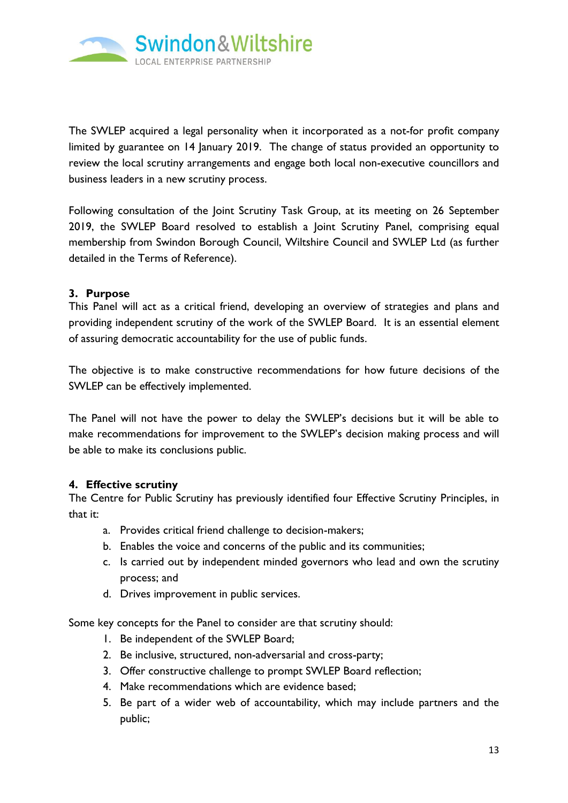

The SWLEP acquired a legal personality when it incorporated as a not-for profit company limited by guarantee on 14 January 2019. The change of status provided an opportunity to review the local scrutiny arrangements and engage both local non-executive councillors and business leaders in a new scrutiny process.

Following consultation of the Joint Scrutiny Task Group, at its meeting on 26 September 2019, the SWLEP Board resolved to establish a Joint Scrutiny Panel, comprising equal membership from Swindon Borough Council, Wiltshire Council and SWLEP Ltd (as further detailed in the Terms of Reference).

## **3. Purpose**

This Panel will act as a critical friend, developing an overview of strategies and plans and providing independent scrutiny of the work of the SWLEP Board. It is an essential element of assuring democratic accountability for the use of public funds.

The objective is to make constructive recommendations for how future decisions of the SWLEP can be effectively implemented.

The Panel will not have the power to delay the SWLEP's decisions but it will be able to make recommendations for improvement to the SWLEP's decision making process and will be able to make its conclusions public.

## **4. Effective scrutiny**

The Centre for Public Scrutiny has previously identified four Effective Scrutiny Principles, in that it:

- a. Provides critical friend challenge to decision-makers;
- b. Enables the voice and concerns of the public and its communities;
- c. Is carried out by independent minded governors who lead and own the scrutiny process; and
- d. Drives improvement in public services.

Some key concepts for the Panel to consider are that scrutiny should:

- 1. Be independent of the SWLEP Board;
- 2. Be inclusive, structured, non-adversarial and cross-party;
- 3. Offer constructive challenge to prompt SWLEP Board reflection;
- 4. Make recommendations which are evidence based;
- 5. Be part of a wider web of accountability, which may include partners and the public;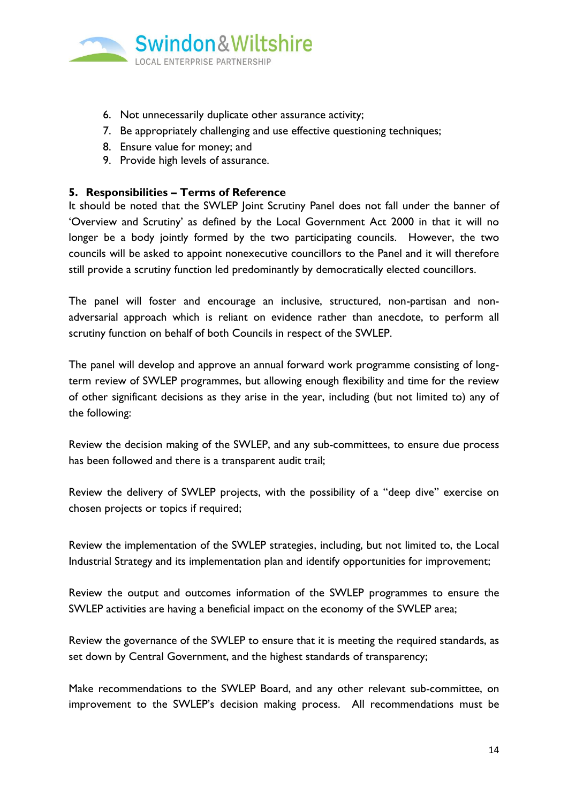

- 6. Not unnecessarily duplicate other assurance activity;
- 7. Be appropriately challenging and use effective questioning techniques;
- 8. Ensure value for money; and
- 9. Provide high levels of assurance.

### **5. Responsibilities – Terms of Reference**

It should be noted that the SWLEP Joint Scrutiny Panel does not fall under the banner of 'Overview and Scrutiny' as defined by the Local Government Act 2000 in that it will no longer be a body jointly formed by the two participating councils. However, the two councils will be asked to appoint nonexecutive councillors to the Panel and it will therefore still provide a scrutiny function led predominantly by democratically elected councillors.

The panel will foster and encourage an inclusive, structured, non-partisan and nonadversarial approach which is reliant on evidence rather than anecdote, to perform all scrutiny function on behalf of both Councils in respect of the SWLEP.

The panel will develop and approve an annual forward work programme consisting of longterm review of SWLEP programmes, but allowing enough flexibility and time for the review of other significant decisions as they arise in the year, including (but not limited to) any of the following:

Review the decision making of the SWLEP, and any sub-committees, to ensure due process has been followed and there is a transparent audit trail;

Review the delivery of SWLEP projects, with the possibility of a "deep dive" exercise on chosen projects or topics if required;

Review the implementation of the SWLEP strategies, including, but not limited to, the Local Industrial Strategy and its implementation plan and identify opportunities for improvement;

Review the output and outcomes information of the SWLEP programmes to ensure the SWLEP activities are having a beneficial impact on the economy of the SWLEP area;

Review the governance of the SWLEP to ensure that it is meeting the required standards, as set down by Central Government, and the highest standards of transparency;

Make recommendations to the SWLEP Board, and any other relevant sub-committee, on improvement to the SWLEP's decision making process. All recommendations must be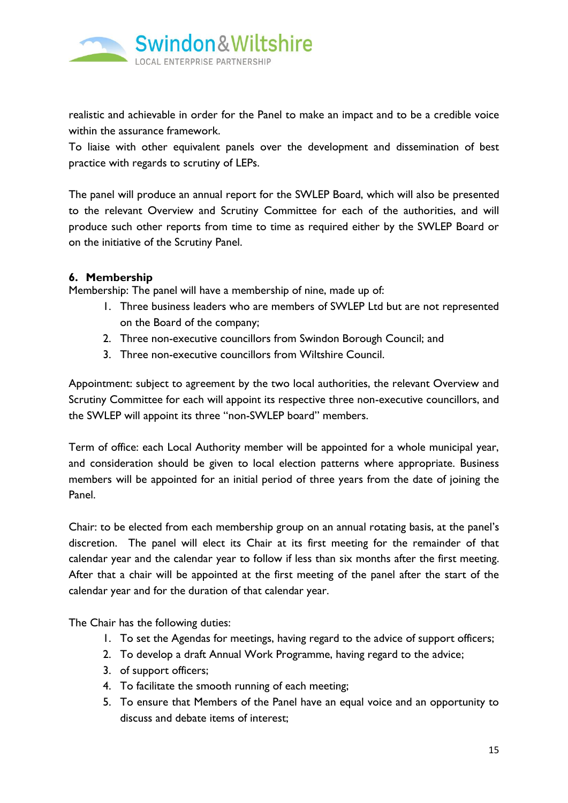

realistic and achievable in order for the Panel to make an impact and to be a credible voice within the assurance framework.

To liaise with other equivalent panels over the development and dissemination of best practice with regards to scrutiny of LEPs.

The panel will produce an annual report for the SWLEP Board, which will also be presented to the relevant Overview and Scrutiny Committee for each of the authorities, and will produce such other reports from time to time as required either by the SWLEP Board or on the initiative of the Scrutiny Panel.

## **6. Membership**

Membership: The panel will have a membership of nine, made up of:

- 1. Three business leaders who are members of SWLEP Ltd but are not represented on the Board of the company;
- 2. Three non-executive councillors from Swindon Borough Council; and
- 3. Three non-executive councillors from Wiltshire Council.

Appointment: subject to agreement by the two local authorities, the relevant Overview and Scrutiny Committee for each will appoint its respective three non-executive councillors, and the SWLEP will appoint its three "non-SWLEP board" members.

Term of office: each Local Authority member will be appointed for a whole municipal year, and consideration should be given to local election patterns where appropriate. Business members will be appointed for an initial period of three years from the date of joining the Panel.

Chair: to be elected from each membership group on an annual rotating basis, at the panel's discretion. The panel will elect its Chair at its first meeting for the remainder of that calendar year and the calendar year to follow if less than six months after the first meeting. After that a chair will be appointed at the first meeting of the panel after the start of the calendar year and for the duration of that calendar year.

The Chair has the following duties:

- 1. To set the Agendas for meetings, having regard to the advice of support officers;
- 2. To develop a draft Annual Work Programme, having regard to the advice;
- 3. of support officers;
- 4. To facilitate the smooth running of each meeting;
- 5. To ensure that Members of the Panel have an equal voice and an opportunity to discuss and debate items of interest;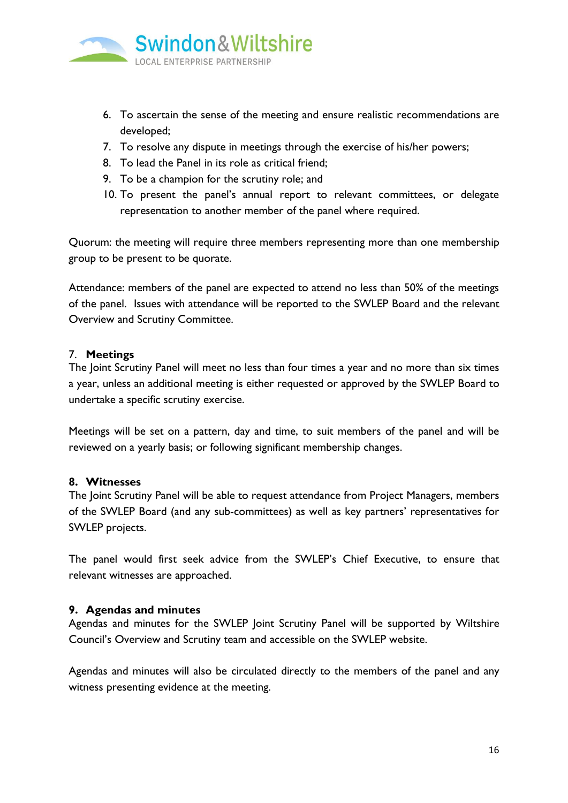

- 6. To ascertain the sense of the meeting and ensure realistic recommendations are developed;
- 7. To resolve any dispute in meetings through the exercise of his/her powers;
- 8. To lead the Panel in its role as critical friend;
- 9. To be a champion for the scrutiny role; and
- 10. To present the panel's annual report to relevant committees, or delegate representation to another member of the panel where required.

Quorum: the meeting will require three members representing more than one membership group to be present to be quorate.

Attendance: members of the panel are expected to attend no less than 50% of the meetings of the panel. Issues with attendance will be reported to the SWLEP Board and the relevant Overview and Scrutiny Committee.

#### 7. **Meetings**

The Joint Scrutiny Panel will meet no less than four times a year and no more than six times a year, unless an additional meeting is either requested or approved by the SWLEP Board to undertake a specific scrutiny exercise.

Meetings will be set on a pattern, day and time, to suit members of the panel and will be reviewed on a yearly basis; or following significant membership changes.

#### **8. Witnesses**

The Joint Scrutiny Panel will be able to request attendance from Project Managers, members of the SWLEP Board (and any sub-committees) as well as key partners' representatives for SWLEP projects.

The panel would first seek advice from the SWLEP's Chief Executive, to ensure that relevant witnesses are approached.

#### **9. Agendas and minutes**

Agendas and minutes for the SWLEP Joint Scrutiny Panel will be supported by Wiltshire Council's Overview and Scrutiny team and accessible on the SWLEP website.

Agendas and minutes will also be circulated directly to the members of the panel and any witness presenting evidence at the meeting.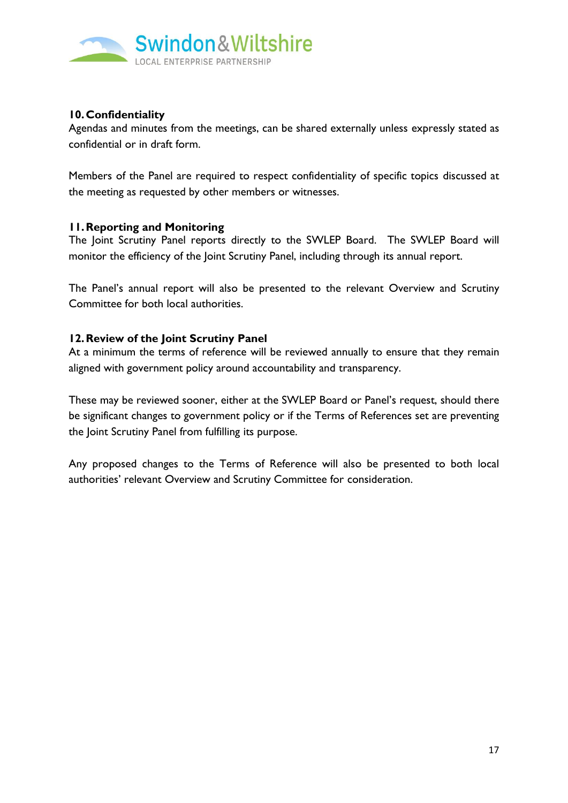

## **10.Confidentiality**

Agendas and minutes from the meetings, can be shared externally unless expressly stated as confidential or in draft form.

Members of the Panel are required to respect confidentiality of specific topics discussed at the meeting as requested by other members or witnesses.

## **11.Reporting and Monitoring**

The Joint Scrutiny Panel reports directly to the SWLEP Board. The SWLEP Board will monitor the efficiency of the Joint Scrutiny Panel, including through its annual report.

The Panel's annual report will also be presented to the relevant Overview and Scrutiny Committee for both local authorities.

#### **12.Review of the Joint Scrutiny Panel**

At a minimum the terms of reference will be reviewed annually to ensure that they remain aligned with government policy around accountability and transparency.

These may be reviewed sooner, either at the SWLEP Board or Panel's request, should there be significant changes to government policy or if the Terms of References set are preventing the Joint Scrutiny Panel from fulfilling its purpose.

Any proposed changes to the Terms of Reference will also be presented to both local authorities' relevant Overview and Scrutiny Committee for consideration.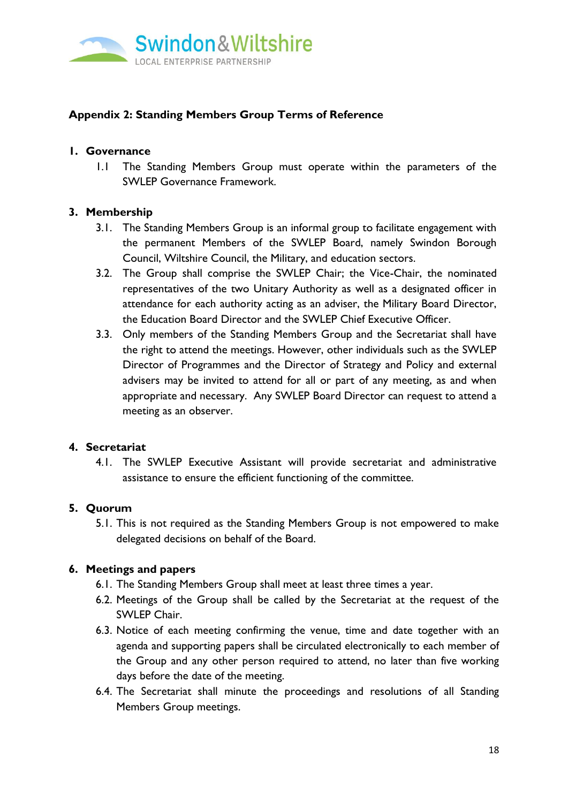

# **Appendix 2: Standing Members Group Terms of Reference**

## **1. Governance**

1.1 The Standing Members Group must operate within the parameters of the SWLEP Governance Framework.

## **3. Membership**

- 3.1. The Standing Members Group is an informal group to facilitate engagement with the permanent Members of the SWLEP Board, namely Swindon Borough Council, Wiltshire Council, the Military, and education sectors.
- 3.2. The Group shall comprise the SWLEP Chair; the Vice-Chair, the nominated representatives of the two Unitary Authority as well as a designated officer in attendance for each authority acting as an adviser, the Military Board Director, the Education Board Director and the SWLEP Chief Executive Officer.
- 3.3. Only members of the Standing Members Group and the Secretariat shall have the right to attend the meetings. However, other individuals such as the SWLEP Director of Programmes and the Director of Strategy and Policy and external advisers may be invited to attend for all or part of any meeting, as and when appropriate and necessary. Any SWLEP Board Director can request to attend a meeting as an observer.

## **4. Secretariat**

4.1. The SWLEP Executive Assistant will provide secretariat and administrative assistance to ensure the efficient functioning of the committee.

# **5. Quorum**

5.1. This is not required as the Standing Members Group is not empowered to make delegated decisions on behalf of the Board.

## **6. Meetings and papers**

- 6.1. The Standing Members Group shall meet at least three times a year.
- 6.2. Meetings of the Group shall be called by the Secretariat at the request of the SWLEP Chair.
- 6.3. Notice of each meeting confirming the venue, time and date together with an agenda and supporting papers shall be circulated electronically to each member of the Group and any other person required to attend, no later than five working days before the date of the meeting.
- 6.4. The Secretariat shall minute the proceedings and resolutions of all Standing Members Group meetings.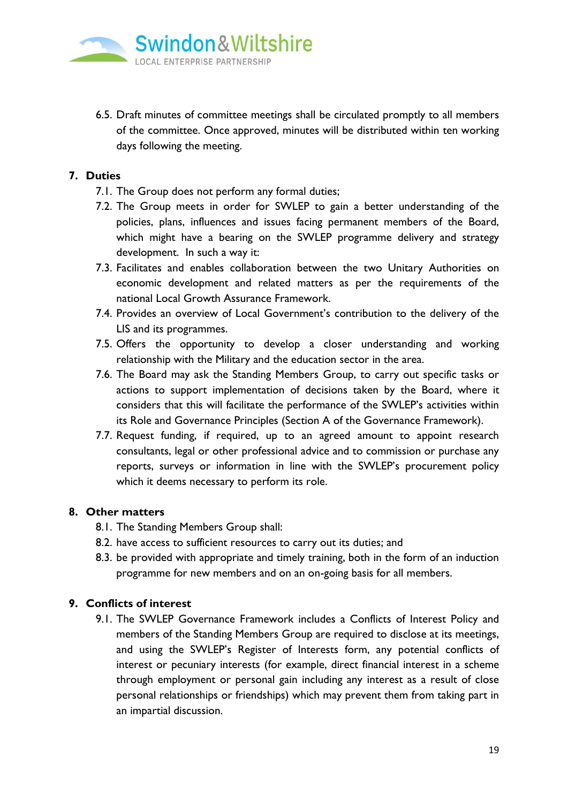

6.5. Draft minutes of committee meetings shall be circulated promptly to all members of the committee. Once approved, minutes will be distributed within ten working days following the meeting.

## **7. Duties**

- 7.1. The Group does not perform any formal duties;
- 7.2. The Group meets in order for SWLEP to gain a better understanding of the policies, plans, influences and issues facing permanent members of the Board, which might have a bearing on the SWLEP programme delivery and strategy development. In such a way it:
- 7.3. Facilitates and enables collaboration between the two Unitary Authorities on economic development and related matters as per the requirements of the national Local Growth Assurance Framework.
- 7.4. Provides an overview of Local Government's contribution to the delivery of the LIS and its programmes.
- 7.5. Offers the opportunity to develop a closer understanding and working relationship with the Military and the education sector in the area.
- 7.6. The Board may ask the Standing Members Group, to carry out specific tasks or actions to support implementation of decisions taken by the Board, where it considers that this will facilitate the performance of the SWLEP's activities within its Role and Governance Principles (Section A of the Governance Framework).
- 7.7. Request funding, if required, up to an agreed amount to appoint research consultants, legal or other professional advice and to commission or purchase any reports, surveys or information in line with the SWLEP's procurement policy which it deems necessary to perform its role.

## **8. Other matters**

- 8.1. The Standing Members Group shall:
- 8.2. have access to sufficient resources to carry out its duties; and
- 8.3. be provided with appropriate and timely training, both in the form of an induction programme for new members and on an on-going basis for all members.

# **9. Conflicts of interest**

9.1. The SWLEP Governance Framework includes a Conflicts of Interest Policy and members of the Standing Members Group are required to disclose at its meetings, and using the SWLEP's Register of Interests form, any potential conflicts of interest or pecuniary interests (for example, direct financial interest in a scheme through employment or personal gain including any interest as a result of close personal relationships or friendships) which may prevent them from taking part in an impartial discussion.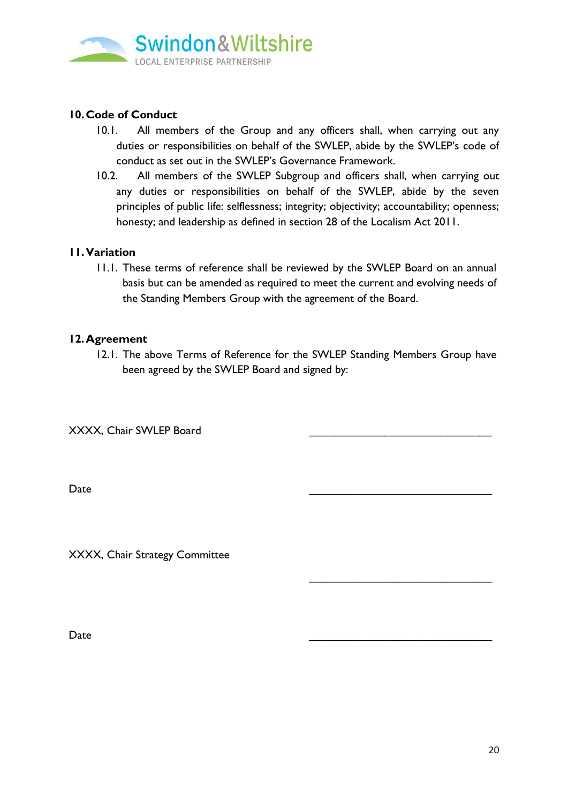

# **10.Code of Conduct**

- 10.1. All members of the Group and any officers shall, when carrying out any duties or responsibilities on behalf of the SWLEP, abide by the SWLEP's code of conduct as set out in the SWLEP's Governance Framework.
- 10.2. All members of the SWLEP Subgroup and officers shall, when carrying out any duties or responsibilities on behalf of the SWLEP, abide by the seven principles of public life: selflessness; integrity; objectivity; accountability; openness; honesty; and leadership as defined in section 28 of the Localism Act 2011.

## **11.Variation**

11.1. These terms of reference shall be reviewed by the SWLEP Board on an annual basis but can be amended as required to meet the current and evolving needs of the Standing Members Group with the agreement of the Board.

#### **12.Agreement**

12.1. The above Terms of Reference for the SWLEP Standing Members Group have been agreed by the SWLEP Board and signed by:

XXXX, Chair SWLEP Board

Date \_\_\_\_\_\_\_\_\_\_\_\_\_\_\_\_\_\_\_\_\_\_\_\_\_\_\_\_\_

XXXX, Chair Strategy Committee

 $Date$ 

\_\_\_\_\_\_\_\_\_\_\_\_\_\_\_\_\_\_\_\_\_\_\_\_\_\_\_\_\_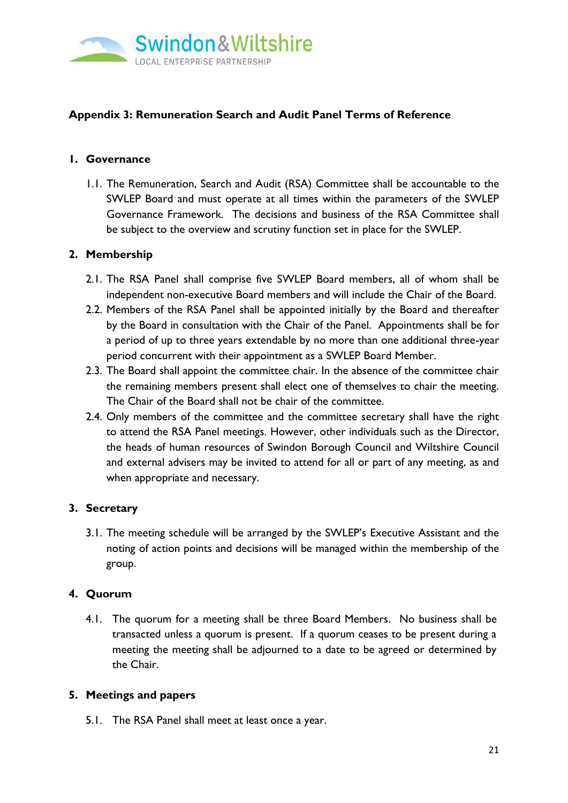

# **Appendix 3: Remuneration Search and Audit Panel Terms of Reference**

## **1. Governance**

1.1. The Remuneration, Search and Audit (RSA) Committee shall be accountable to the SWLEP Board and must operate at all times within the parameters of the SWLEP Governance Framework. The decisions and business of the RSA Committee shall be subject to the overview and scrutiny function set in place for the SWLEP.

## **2. Membership**

- 2.1. The RSA Panel shall comprise five SWLEP Board members, all of whom shall be independent non-executive Board members and will include the Chair of the Board.
- 2.2. Members of the RSA Panel shall be appointed initially by the Board and thereafter by the Board in consultation with the Chair of the Panel. Appointments shall be for a period of up to three years extendable by no more than one additional three-year period concurrent with their appointment as a SWLEP Board Member.
- 2.3. The Board shall appoint the committee chair. In the absence of the committee chair the remaining members present shall elect one of themselves to chair the meeting. The Chair of the Board shall not be chair of the committee.
- 2.4. Only members of the committee and the committee secretary shall have the right to attend the RSA Panel meetings. However, other individuals such as the Director, the heads of human resources of Swindon Borough Council and Wiltshire Council and external advisers may be invited to attend for all or part of any meeting, as and when appropriate and necessary.

# **3. Secretary**

3.1. The meeting schedule will be arranged by the SWLEP's Executive Assistant and the noting of action points and decisions will be managed within the membership of the group.

## **4. Quorum**

4.1. The quorum for a meeting shall be three Board Members. No business shall be transacted unless a quorum is present. If a quorum ceases to be present during a meeting the meeting shall be adjourned to a date to be agreed or determined by the Chair.

## **5. Meetings and papers**

5.1. The RSA Panel shall meet at least once a year.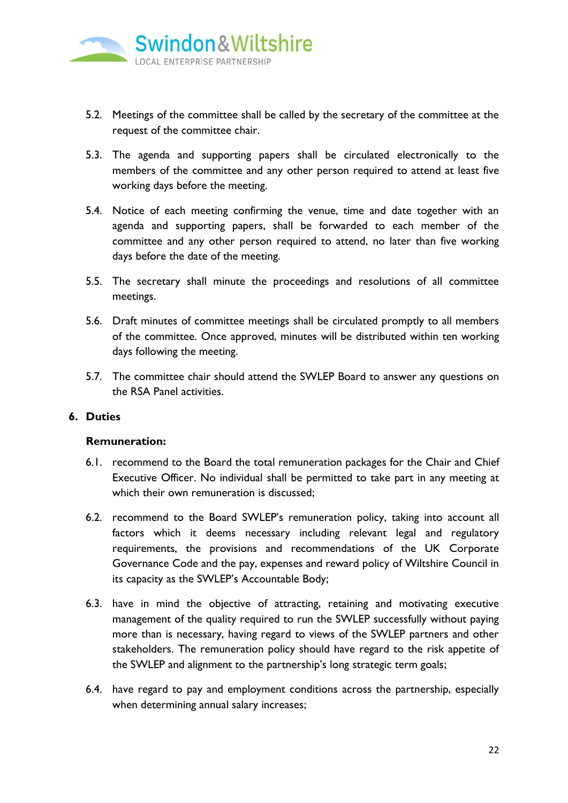

- 5.2. Meetings of the committee shall be called by the secretary of the committee at the request of the committee chair.
- 5.3. The agenda and supporting papers shall be circulated electronically to the members of the committee and any other person required to attend at least five working days before the meeting.
- 5.4. Notice of each meeting confirming the venue, time and date together with an agenda and supporting papers, shall be forwarded to each member of the committee and any other person required to attend, no later than five working days before the date of the meeting.
- 5.5. The secretary shall minute the proceedings and resolutions of all committee meetings.
- 5.6. Draft minutes of committee meetings shall be circulated promptly to all members of the committee. Once approved, minutes will be distributed within ten working days following the meeting.
- 5.7. The committee chair should attend the SWLEP Board to answer any questions on the RSA Panel activities.

## **6. Duties**

#### **Remuneration:**

- 6.1. recommend to the Board the total remuneration packages for the Chair and Chief Executive Officer. No individual shall be permitted to take part in any meeting at which their own remuneration is discussed;
- 6.2. recommend to the Board SWLEP's remuneration policy, taking into account all factors which it deems necessary including relevant legal and regulatory requirements, the provisions and recommendations of the UK Corporate Governance Code and the pay, expenses and reward policy of Wiltshire Council in its capacity as the SWLEP's Accountable Body;
- 6.3. have in mind the objective of attracting, retaining and motivating executive management of the quality required to run the SWLEP successfully without paying more than is necessary, having regard to views of the SWLEP partners and other stakeholders. The remuneration policy should have regard to the risk appetite of the SWLEP and alignment to the partnership's long strategic term goals;
- 6.4. have regard to pay and employment conditions across the partnership, especially when determining annual salary increases;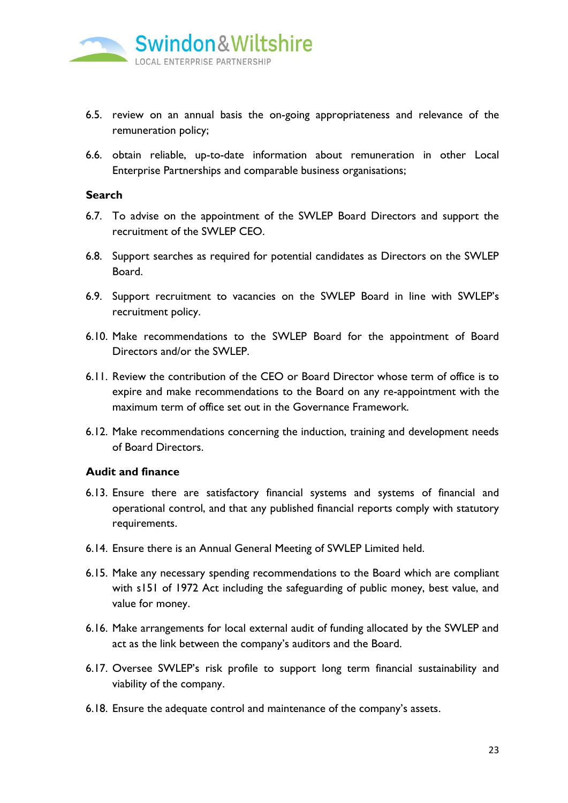

- 6.5. review on an annual basis the on-going appropriateness and relevance of the remuneration policy;
- 6.6. obtain reliable, up-to-date information about remuneration in other Local Enterprise Partnerships and comparable business organisations;

#### **Search**

- 6.7. To advise on the appointment of the SWLEP Board Directors and support the recruitment of the SWLEP CEO.
- 6.8. Support searches as required for potential candidates as Directors on the SWLEP Board.
- 6.9. Support recruitment to vacancies on the SWLEP Board in line with SWLEP's recruitment policy.
- 6.10. Make recommendations to the SWLEP Board for the appointment of Board Directors and/or the SWLEP.
- 6.11. Review the contribution of the CEO or Board Director whose term of office is to expire and make recommendations to the Board on any re-appointment with the maximum term of office set out in the Governance Framework.
- 6.12. Make recommendations concerning the induction, training and development needs of Board Directors.

#### **Audit and finance**

- 6.13. Ensure there are satisfactory financial systems and systems of financial and operational control, and that any published financial reports comply with statutory requirements.
- 6.14. Ensure there is an Annual General Meeting of SWLEP Limited held.
- 6.15. Make any necessary spending recommendations to the Board which are compliant with s151 of 1972 Act including the safeguarding of public money, best value, and value for money.
- 6.16. Make arrangements for local external audit of funding allocated by the SWLEP and act as the link between the company's auditors and the Board.
- 6.17. Oversee SWLEP's risk profile to support long term financial sustainability and viability of the company.
- 6.18. Ensure the adequate control and maintenance of the company's assets.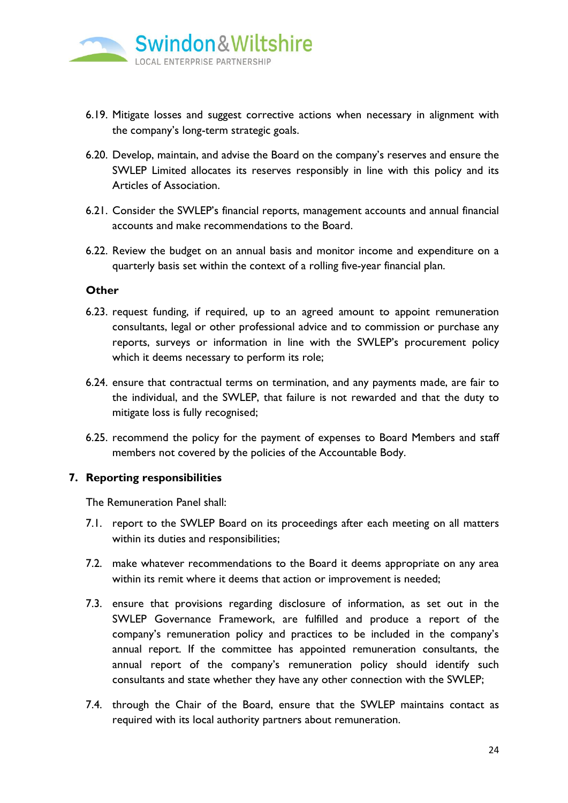

- 6.19. Mitigate losses and suggest corrective actions when necessary in alignment with the company's long-term strategic goals.
- 6.20. Develop, maintain, and advise the Board on the company's reserves and ensure the SWLEP Limited allocates its reserves responsibly in line with this policy and its Articles of Association.
- 6.21. Consider the SWLEP's financial reports, management accounts and annual financial accounts and make recommendations to the Board.
- 6.22. Review the budget on an annual basis and monitor income and expenditure on a quarterly basis set within the context of a rolling five-year financial plan.

#### **Other**

- 6.23. request funding, if required, up to an agreed amount to appoint remuneration consultants, legal or other professional advice and to commission or purchase any reports, surveys or information in line with the SWLEP's procurement policy which it deems necessary to perform its role;
- 6.24. ensure that contractual terms on termination, and any payments made, are fair to the individual, and the SWLEP, that failure is not rewarded and that the duty to mitigate loss is fully recognised;
- 6.25. recommend the policy for the payment of expenses to Board Members and staff members not covered by the policies of the Accountable Body.

#### **7. Reporting responsibilities**

The Remuneration Panel shall:

- 7.1. report to the SWLEP Board on its proceedings after each meeting on all matters within its duties and responsibilities;
- 7.2. make whatever recommendations to the Board it deems appropriate on any area within its remit where it deems that action or improvement is needed;
- 7.3. ensure that provisions regarding disclosure of information, as set out in the SWLEP Governance Framework, are fulfilled and produce a report of the company's remuneration policy and practices to be included in the company's annual report. If the committee has appointed remuneration consultants, the annual report of the company's remuneration policy should identify such consultants and state whether they have any other connection with the SWLEP;
- 7.4. through the Chair of the Board, ensure that the SWLEP maintains contact as required with its local authority partners about remuneration.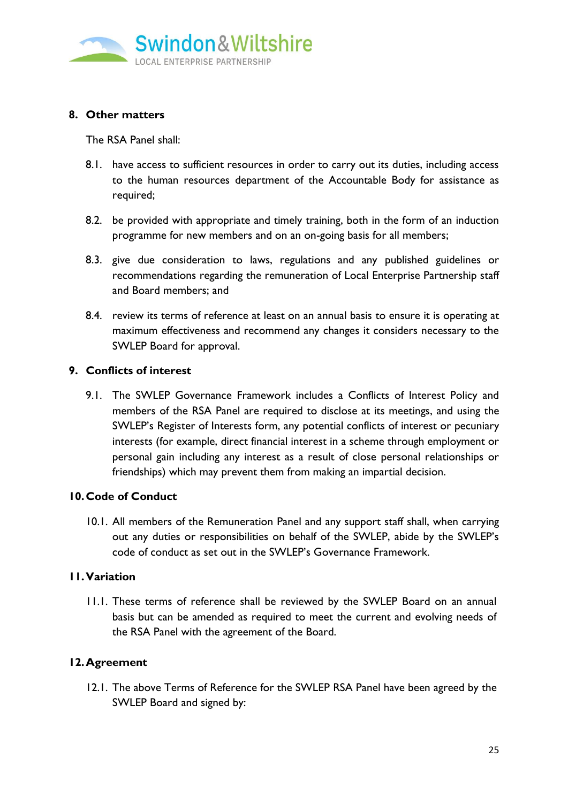

## **8. Other matters**

The RSA Panel shall:

- 8.1. have access to sufficient resources in order to carry out its duties, including access to the human resources department of the Accountable Body for assistance as required;
- 8.2. be provided with appropriate and timely training, both in the form of an induction programme for new members and on an on-going basis for all members;
- 8.3. give due consideration to laws, regulations and any published guidelines or recommendations regarding the remuneration of Local Enterprise Partnership staff and Board members; and
- 8.4. review its terms of reference at least on an annual basis to ensure it is operating at maximum effectiveness and recommend any changes it considers necessary to the SWLEP Board for approval.

## **9. Conflicts of interest**

9.1. The SWLEP Governance Framework includes a Conflicts of Interest Policy and members of the RSA Panel are required to disclose at its meetings, and using the SWLEP's Register of Interests form, any potential conflicts of interest or pecuniary interests (for example, direct financial interest in a scheme through employment or personal gain including any interest as a result of close personal relationships or friendships) which may prevent them from making an impartial decision.

## **10.Code of Conduct**

10.1. All members of the Remuneration Panel and any support staff shall, when carrying out any duties or responsibilities on behalf of the SWLEP, abide by the SWLEP's code of conduct as set out in the SWLEP's Governance Framework.

#### **11.Variation**

11.1. These terms of reference shall be reviewed by the SWLEP Board on an annual basis but can be amended as required to meet the current and evolving needs of the RSA Panel with the agreement of the Board.

## **12.Agreement**

12.1. The above Terms of Reference for the SWLEP RSA Panel have been agreed by the SWLEP Board and signed by: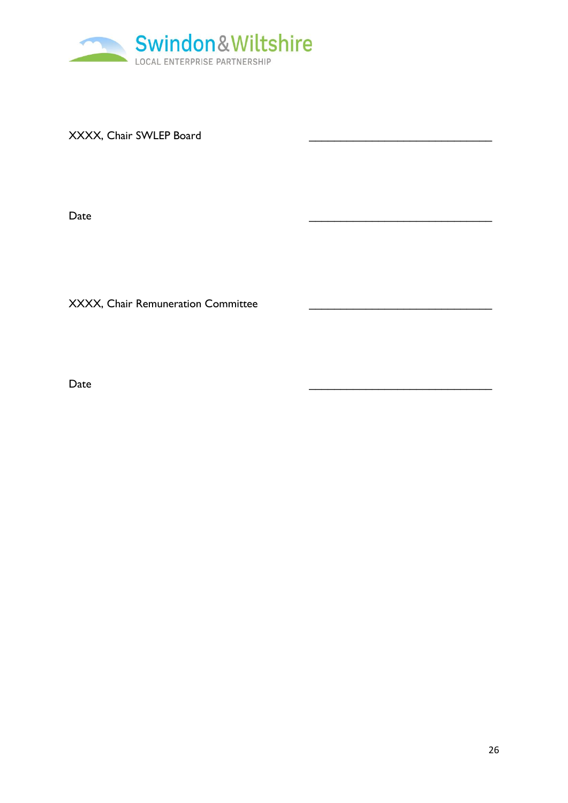

XXXX, Chair SWLEP Board

Date \_\_\_\_\_\_\_\_\_\_\_\_\_\_\_\_\_\_\_\_\_\_\_\_\_\_\_\_\_

XXXX, Chair Remuneration Committee

Date \_\_\_\_\_\_\_\_\_\_\_\_\_\_\_\_\_\_\_\_\_\_\_\_\_\_\_\_\_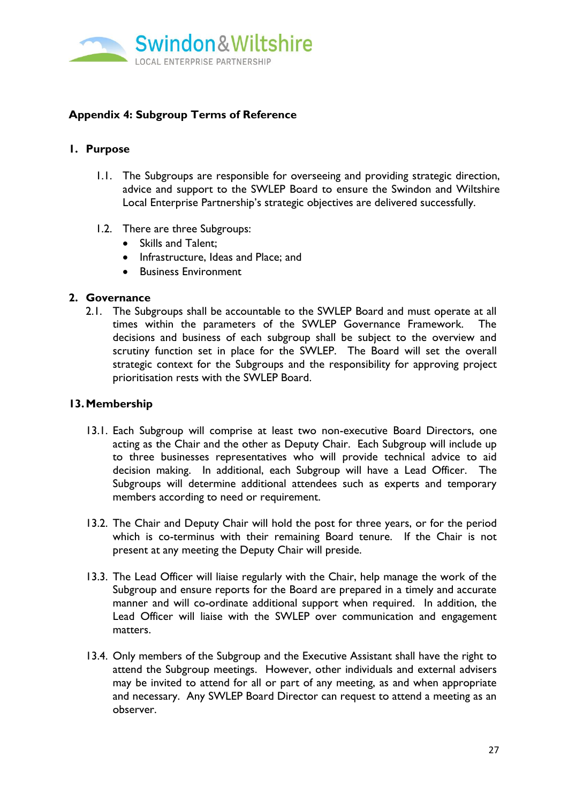

# **Appendix 4: Subgroup Terms of Reference**

## **1. Purpose**

- 1.1. The Subgroups are responsible for overseeing and providing strategic direction, advice and support to the SWLEP Board to ensure the Swindon and Wiltshire Local Enterprise Partnership's strategic objectives are delivered successfully.
- 1.2. There are three Subgroups:
	- Skills and Talent;
	- Infrastructure, Ideas and Place; and
	- Business Environment

## **2. Governance**

2.1. The Subgroups shall be accountable to the SWLEP Board and must operate at all times within the parameters of the SWLEP Governance Framework. The decisions and business of each subgroup shall be subject to the overview and scrutiny function set in place for the SWLEP. The Board will set the overall strategic context for the Subgroups and the responsibility for approving project prioritisation rests with the SWLEP Board.

## **13.Membership**

- 13.1. Each Subgroup will comprise at least two non-executive Board Directors, one acting as the Chair and the other as Deputy Chair. Each Subgroup will include up to three businesses representatives who will provide technical advice to aid decision making. In additional, each Subgroup will have a Lead Officer. The Subgroups will determine additional attendees such as experts and temporary members according to need or requirement.
- 13.2. The Chair and Deputy Chair will hold the post for three years, or for the period which is co-terminus with their remaining Board tenure. If the Chair is not present at any meeting the Deputy Chair will preside.
- 13.3. The Lead Officer will liaise regularly with the Chair, help manage the work of the Subgroup and ensure reports for the Board are prepared in a timely and accurate manner and will co-ordinate additional support when required. In addition, the Lead Officer will liaise with the SWLEP over communication and engagement matters.
- 13.4. Only members of the Subgroup and the Executive Assistant shall have the right to attend the Subgroup meetings. However, other individuals and external advisers may be invited to attend for all or part of any meeting, as and when appropriate and necessary. Any SWLEP Board Director can request to attend a meeting as an observer.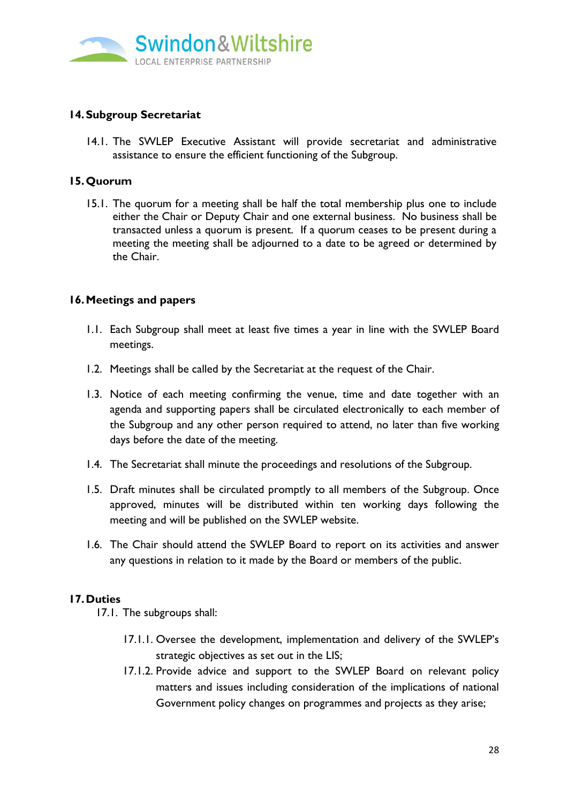

## **14.Subgroup Secretariat**

14.1. The SWLEP Executive Assistant will provide secretariat and administrative assistance to ensure the efficient functioning of the Subgroup.

### **15.Quorum**

15.1. The quorum for a meeting shall be half the total membership plus one to include either the Chair or Deputy Chair and one external business. No business shall be transacted unless a quorum is present. If a quorum ceases to be present during a meeting the meeting shall be adjourned to a date to be agreed or determined by the Chair.

## **16.Meetings and papers**

- 1.1. Each Subgroup shall meet at least five times a year in line with the SWLEP Board meetings.
- 1.2. Meetings shall be called by the Secretariat at the request of the Chair.
- 1.3. Notice of each meeting confirming the venue, time and date together with an agenda and supporting papers shall be circulated electronically to each member of the Subgroup and any other person required to attend, no later than five working days before the date of the meeting.
- 1.4. The Secretariat shall minute the proceedings and resolutions of the Subgroup.
- 1.5. Draft minutes shall be circulated promptly to all members of the Subgroup. Once approved, minutes will be distributed within ten working days following the meeting and will be published on the SWLEP website.
- 1.6. The Chair should attend the SWLEP Board to report on its activities and answer any questions in relation to it made by the Board or members of the public.

## **17.Duties**

17.1. The subgroups shall:

- 17.1.1. Oversee the development, implementation and delivery of the SWLEP's strategic objectives as set out in the LIS;
- 17.1.2. Provide advice and support to the SWLEP Board on relevant policy matters and issues including consideration of the implications of national Government policy changes on programmes and projects as they arise;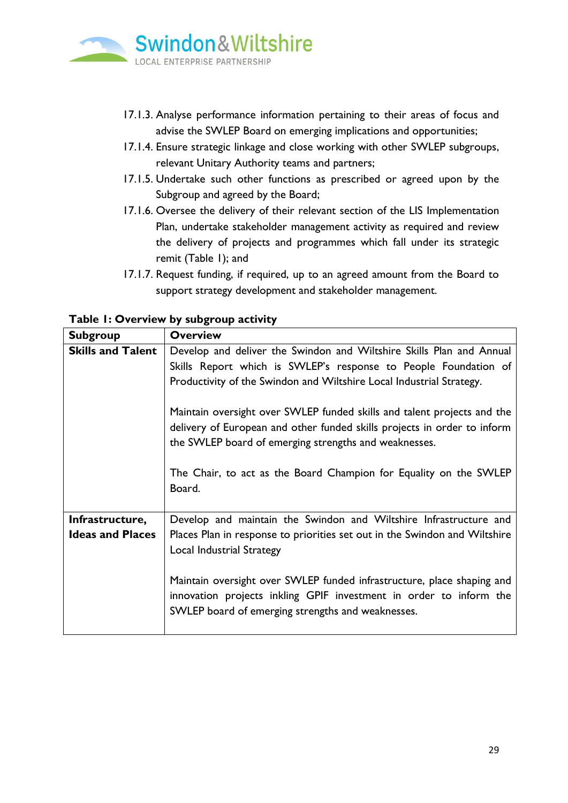

- 17.1.3. Analyse performance information pertaining to their areas of focus and advise the SWLEP Board on emerging implications and opportunities;
- 17.1.4. Ensure strategic linkage and close working with other SWLEP subgroups, relevant Unitary Authority teams and partners;
- 17.1.5. Undertake such other functions as prescribed or agreed upon by the Subgroup and agreed by the Board;
- 17.1.6. Oversee the delivery of their relevant section of the LIS Implementation Plan, undertake stakeholder management activity as required and review the delivery of projects and programmes which fall under its strategic remit (Table 1); and
- 17.1.7. Request funding, if required, up to an agreed amount from the Board to support strategy development and stakeholder management.

| <b>Subgroup</b>                            | <b>Overview</b>                                                                                                                                                                                                                                                                                                                                                                                                                                                                                                |
|--------------------------------------------|----------------------------------------------------------------------------------------------------------------------------------------------------------------------------------------------------------------------------------------------------------------------------------------------------------------------------------------------------------------------------------------------------------------------------------------------------------------------------------------------------------------|
| <b>Skills and Talent</b>                   | Develop and deliver the Swindon and Wiltshire Skills Plan and Annual<br>Skills Report which is SWLEP's response to People Foundation of<br>Productivity of the Swindon and Wiltshire Local Industrial Strategy.<br>Maintain oversight over SWLEP funded skills and talent projects and the<br>delivery of European and other funded skills projects in order to inform<br>the SWLEP board of emerging strengths and weaknesses.<br>The Chair, to act as the Board Champion for Equality on the SWLEP<br>Board. |
| Infrastructure,<br><b>Ideas and Places</b> | Develop and maintain the Swindon and Wiltshire Infrastructure and<br>Places Plan in response to priorities set out in the Swindon and Wiltshire<br><b>Local Industrial Strategy</b><br>Maintain oversight over SWLEP funded infrastructure, place shaping and<br>innovation projects inkling GPIF investment in order to inform the<br>SWLEP board of emerging strengths and weaknesses.                                                                                                                       |

**Table 1: Overview by subgroup activity**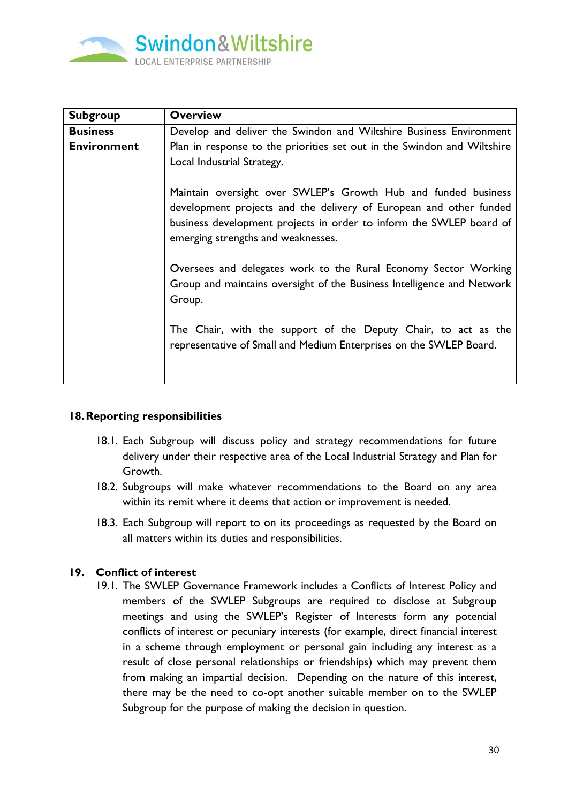

| <b>Subgroup</b>    | <b>Overview</b>                                                                                                                                                                                                                                   |
|--------------------|---------------------------------------------------------------------------------------------------------------------------------------------------------------------------------------------------------------------------------------------------|
| <b>Business</b>    | Develop and deliver the Swindon and Wiltshire Business Environment                                                                                                                                                                                |
| <b>Environment</b> | Plan in response to the priorities set out in the Swindon and Wiltshire                                                                                                                                                                           |
|                    | Local Industrial Strategy.                                                                                                                                                                                                                        |
|                    | Maintain oversight over SWLEP's Growth Hub and funded business<br>development projects and the delivery of European and other funded<br>business development projects in order to inform the SWLEP board of<br>emerging strengths and weaknesses. |
|                    | Oversees and delegates work to the Rural Economy Sector Working<br>Group and maintains oversight of the Business Intelligence and Network<br>Group.                                                                                               |
|                    | The Chair, with the support of the Deputy Chair, to act as the<br>representative of Small and Medium Enterprises on the SWLEP Board.                                                                                                              |

## **18.Reporting responsibilities**

- 18.1. Each Subgroup will discuss policy and strategy recommendations for future delivery under their respective area of the Local Industrial Strategy and Plan for Growth.
- 18.2. Subgroups will make whatever recommendations to the Board on any area within its remit where it deems that action or improvement is needed.
- 18.3. Each Subgroup will report to on its proceedings as requested by the Board on all matters within its duties and responsibilities.

## **19. Conflict of interest**

19.1. The SWLEP Governance Framework includes a Conflicts of Interest Policy and members of the SWLEP Subgroups are required to disclose at Subgroup meetings and using the SWLEP's Register of Interests form any potential conflicts of interest or pecuniary interests (for example, direct financial interest in a scheme through employment or personal gain including any interest as a result of close personal relationships or friendships) which may prevent them from making an impartial decision. Depending on the nature of this interest, there may be the need to co-opt another suitable member on to the SWLEP Subgroup for the purpose of making the decision in question.